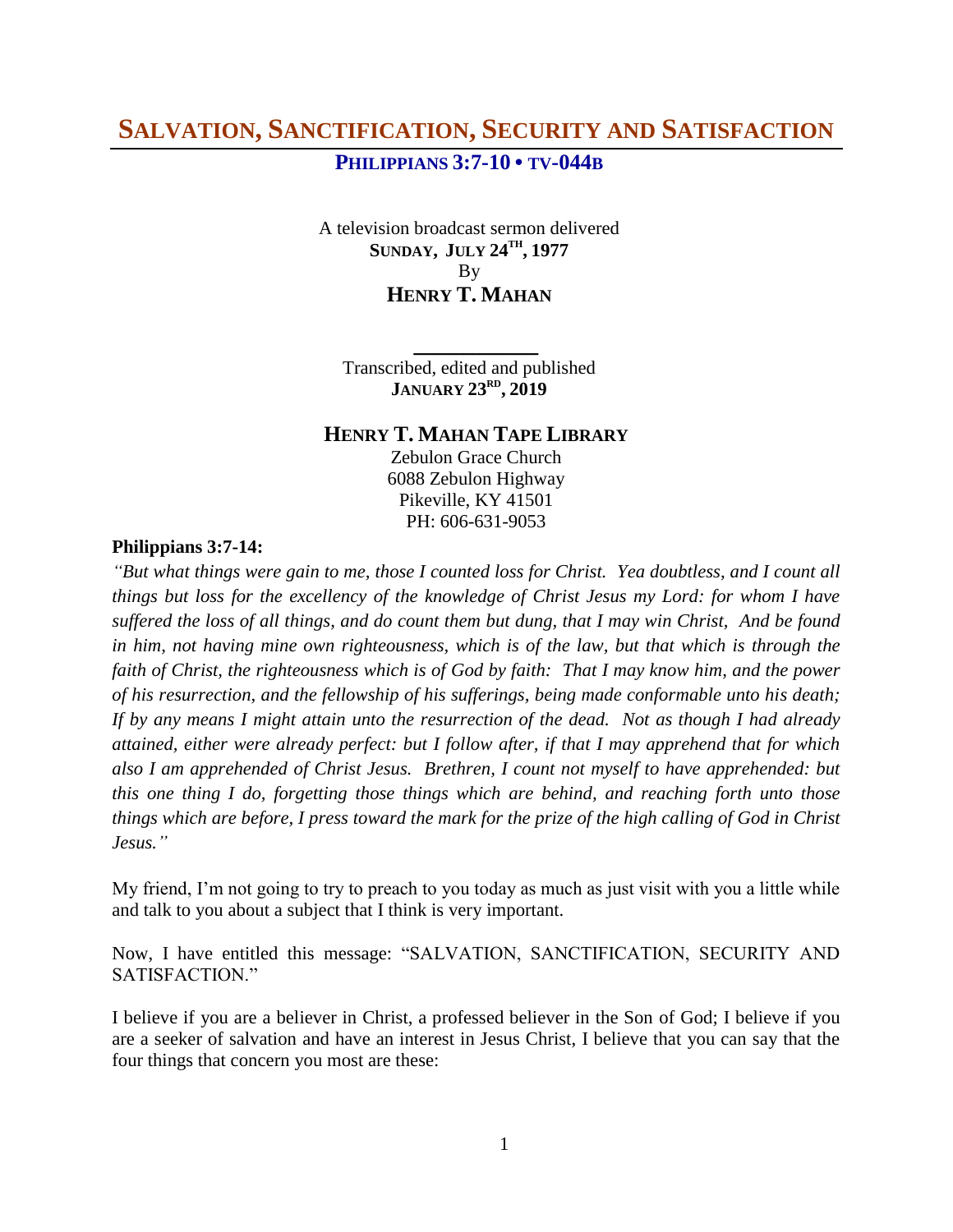# **PHILIPPIANS 3:7-10 • TV-044B**

A television broadcast sermon delivered **SUNDAY, JULY 24TH , 1977** By **HENRY T. MAHAN**

Transcribed, edited and published **JANUARY 23RD , 2019**

**\_\_\_\_\_\_\_\_\_\_**

# **HENRY T. MAHAN TAPE LIBRARY**

Zebulon Grace Church 6088 Zebulon Highway Pikeville, KY 41501 PH: 606-631-9053

#### **Philippians 3:7-14:**

*"But what things were gain to me, those I counted loss for Christ. Yea doubtless, and I count all things but loss for the excellency of the knowledge of Christ Jesus my Lord: for whom I have suffered the loss of all things, and do count them but dung, that I may win Christ, And be found in him, not having mine own righteousness, which is of the law, but that which is through the faith of Christ, the righteousness which is of God by faith: That I may know him, and the power of his resurrection, and the fellowship of his sufferings, being made conformable unto his death; If by any means I might attain unto the resurrection of the dead. Not as though I had already attained, either were already perfect: but I follow after, if that I may apprehend that for which also I am apprehended of Christ Jesus. Brethren, I count not myself to have apprehended: but this one thing I do, forgetting those things which are behind, and reaching forth unto those things which are before, I press toward the mark for the prize of the high calling of God in Christ Jesus."*

My friend, I'm not going to try to preach to you today as much as just visit with you a little while and talk to you about a subject that I think is very important.

Now, I have entitled this message: "SALVATION, SANCTIFICATION, SECURITY AND SATISFACTION."

I believe if you are a believer in Christ, a professed believer in the Son of God; I believe if you are a seeker of salvation and have an interest in Jesus Christ, I believe that you can say that the four things that concern you most are these: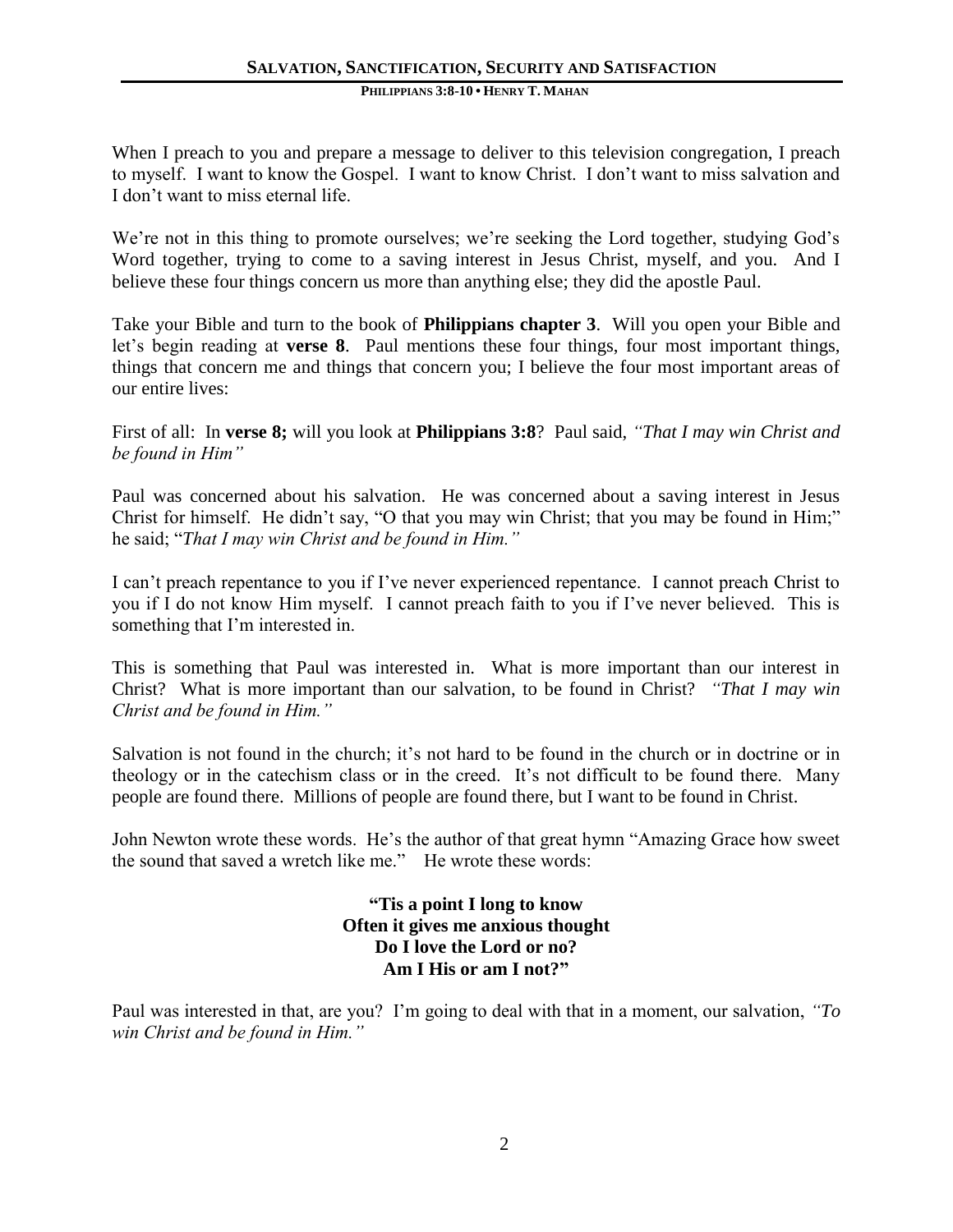#### **PHILIPPIANS 3:8-10 • HENRY T. MAHAN**

When I preach to you and prepare a message to deliver to this television congregation, I preach to myself. I want to know the Gospel. I want to know Christ. I don't want to miss salvation and I don't want to miss eternal life.

We're not in this thing to promote ourselves; we're seeking the Lord together, studying God's Word together, trying to come to a saving interest in Jesus Christ, myself, and you. And I believe these four things concern us more than anything else; they did the apostle Paul.

Take your Bible and turn to the book of **Philippians chapter 3**. Will you open your Bible and let's begin reading at **verse 8**. Paul mentions these four things, four most important things, things that concern me and things that concern you; I believe the four most important areas of our entire lives:

First of all: In **verse 8;** will you look at **Philippians 3:8**? Paul said, *"That I may win Christ and be found in Him"*

Paul was concerned about his salvation. He was concerned about a saving interest in Jesus Christ for himself. He didn't say, "O that you may win Christ; that you may be found in Him;" he said; "*That I may win Christ and be found in Him."*

I can't preach repentance to you if I've never experienced repentance. I cannot preach Christ to you if I do not know Him myself. I cannot preach faith to you if I've never believed. This is something that I'm interested in.

This is something that Paul was interested in. What is more important than our interest in Christ? What is more important than our salvation, to be found in Christ? *"That I may win Christ and be found in Him."* 

Salvation is not found in the church; it's not hard to be found in the church or in doctrine or in theology or in the catechism class or in the creed. It's not difficult to be found there. Many people are found there. Millions of people are found there, but I want to be found in Christ.

John Newton wrote these words. He's the author of that great hymn "Amazing Grace how sweet the sound that saved a wretch like me." He wrote these words:

> **"Tis a point I long to know Often it gives me anxious thought Do I love the Lord or no? Am I His or am I not?"**

Paul was interested in that, are you? I'm going to deal with that in a moment, our salvation, *"To win Christ and be found in Him."*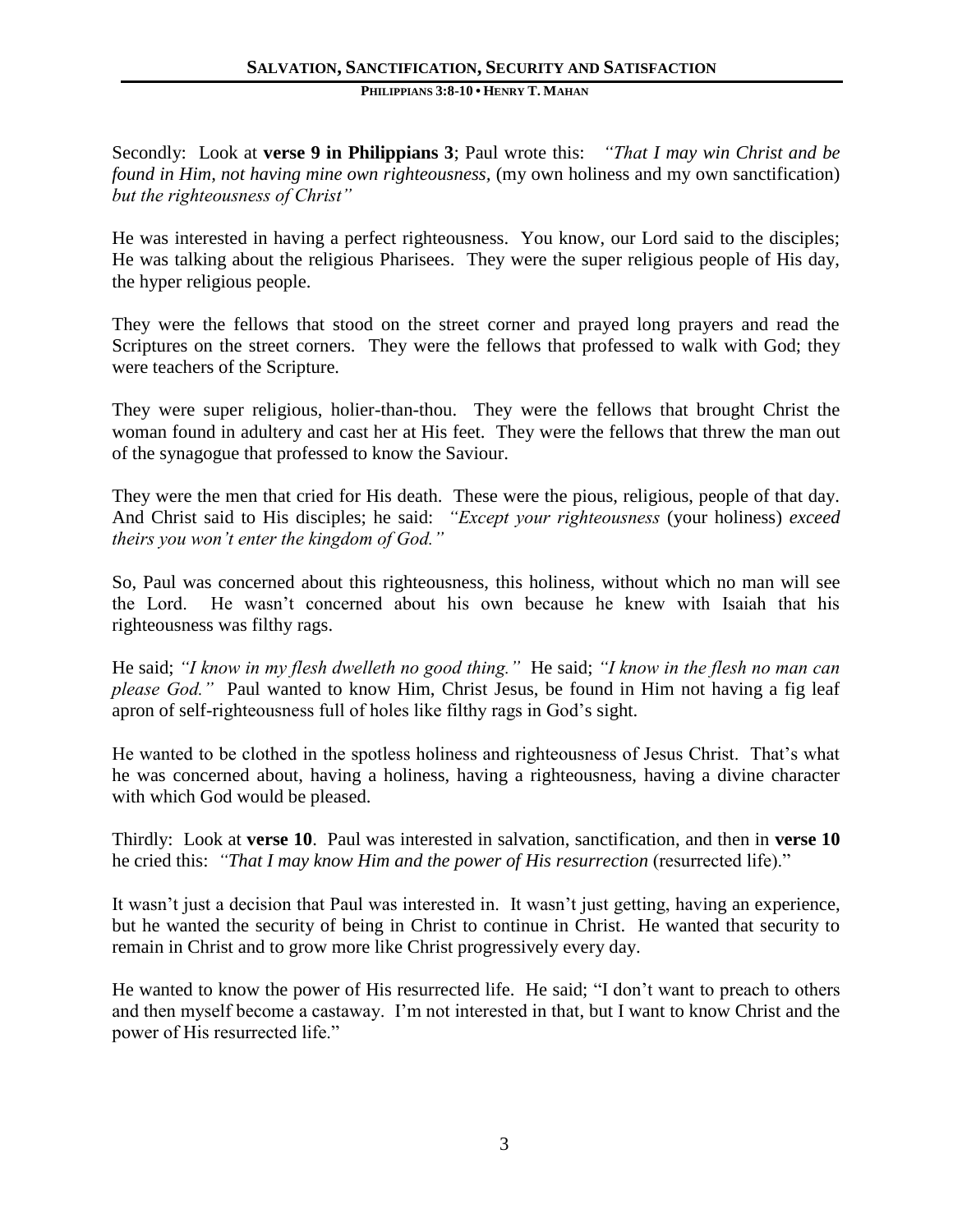#### **PHILIPPIANS 3:8-10 • HENRY T. MAHAN**

Secondly: Look at **verse 9 in Philippians 3**; Paul wrote this: *"That I may win Christ and be found in Him, not having mine own righteousness,* (my own holiness and my own sanctification) *but the righteousness of Christ"*

He was interested in having a perfect righteousness. You know, our Lord said to the disciples; He was talking about the religious Pharisees. They were the super religious people of His day, the hyper religious people.

They were the fellows that stood on the street corner and prayed long prayers and read the Scriptures on the street corners. They were the fellows that professed to walk with God; they were teachers of the Scripture.

They were super religious, holier-than-thou. They were the fellows that brought Christ the woman found in adultery and cast her at His feet. They were the fellows that threw the man out of the synagogue that professed to know the Saviour.

They were the men that cried for His death. These were the pious, religious, people of that day. And Christ said to His disciples; he said: *"Except your righteousness* (your holiness) *exceed theirs you won't enter the kingdom of God."*

So, Paul was concerned about this righteousness, this holiness, without which no man will see the Lord. He wasn't concerned about his own because he knew with Isaiah that his righteousness was filthy rags.

He said; *"I know in my flesh dwelleth no good thing."* He said; *"I know in the flesh no man can please God."* Paul wanted to know Him, Christ Jesus, be found in Him not having a fig leaf apron of self-righteousness full of holes like filthy rags in God's sight.

He wanted to be clothed in the spotless holiness and righteousness of Jesus Christ. That's what he was concerned about, having a holiness, having a righteousness, having a divine character with which God would be pleased.

Thirdly: Look at **verse 10**. Paul was interested in salvation, sanctification, and then in **verse 10** he cried this: *"That I may know Him and the power of His resurrection* (resurrected life)."

It wasn't just a decision that Paul was interested in. It wasn't just getting, having an experience, but he wanted the security of being in Christ to continue in Christ. He wanted that security to remain in Christ and to grow more like Christ progressively every day.

He wanted to know the power of His resurrected life. He said; "I don't want to preach to others and then myself become a castaway. I'm not interested in that, but I want to know Christ and the power of His resurrected life."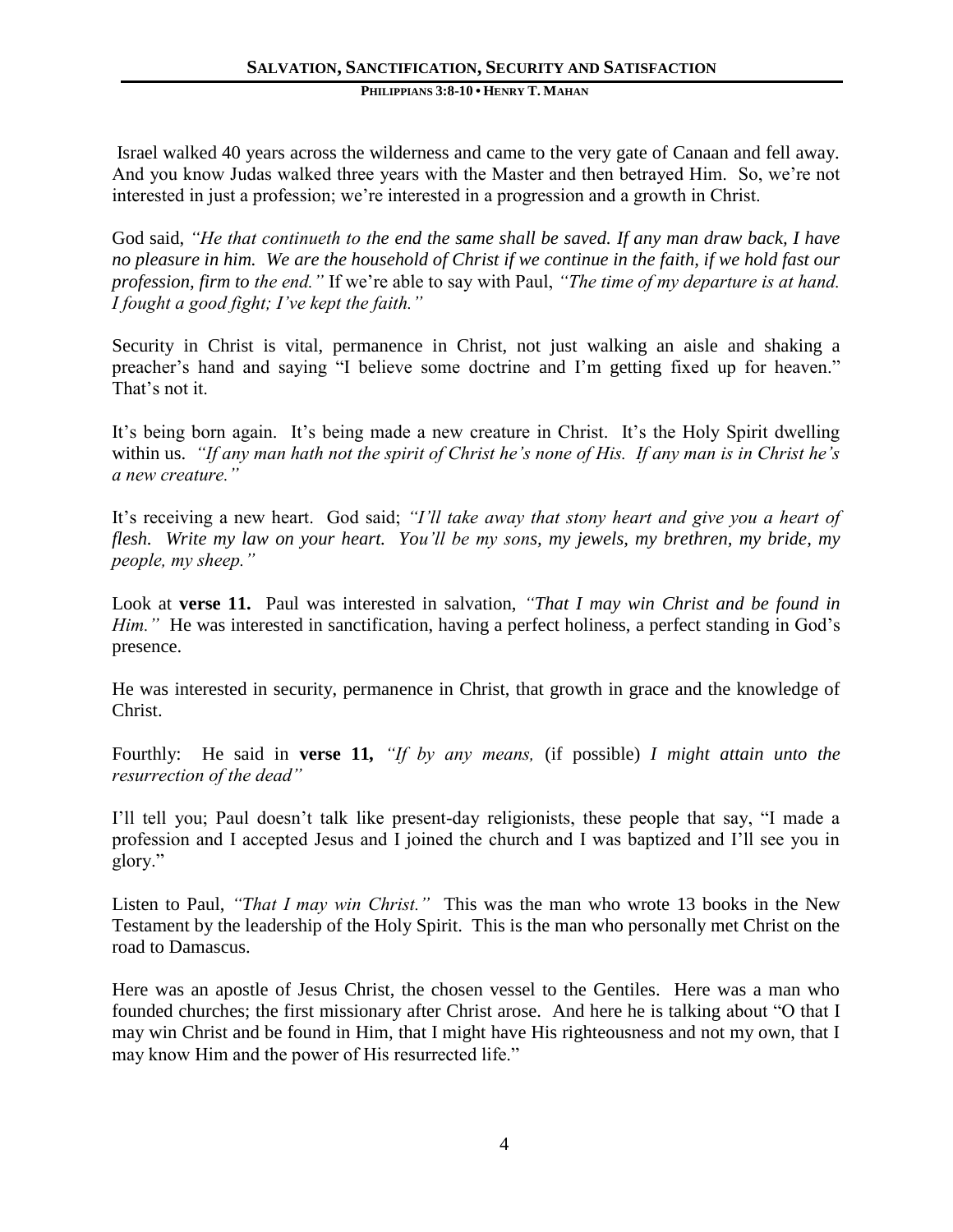Israel walked 40 years across the wilderness and came to the very gate of Canaan and fell away. And you know Judas walked three years with the Master and then betrayed Him. So, we're not interested in just a profession; we're interested in a progression and a growth in Christ.

God said, *"He that continueth to the end the same shall be saved. If any man draw back, I have no pleasure in him. We are the household of Christ if we continue in the faith, if we hold fast our profession, firm to the end."* If we're able to say with Paul, *"The time of my departure is at hand. I fought a good fight; I've kept the faith."*

Security in Christ is vital, permanence in Christ, not just walking an aisle and shaking a preacher's hand and saying "I believe some doctrine and I'm getting fixed up for heaven." That's not it.

It's being born again. It's being made a new creature in Christ. It's the Holy Spirit dwelling within us. *"If any man hath not the spirit of Christ he's none of His. If any man is in Christ he's a new creature."* 

It's receiving a new heart. God said; *"I'll take away that stony heart and give you a heart of flesh. Write my law on your heart. You'll be my sons, my jewels, my brethren, my bride, my people, my sheep."*

Look at **verse 11.** Paul was interested in salvation, *"That I may win Christ and be found in Him.*" He was interested in sanctification, having a perfect holiness, a perfect standing in God's presence.

He was interested in security, permanence in Christ, that growth in grace and the knowledge of Christ.

Fourthly: He said in **verse 11***, "If by any means,* (if possible) *I might attain unto the resurrection of the dead"*

I'll tell you; Paul doesn't talk like present-day religionists, these people that say, "I made a profession and I accepted Jesus and I joined the church and I was baptized and I'll see you in glory."

Listen to Paul, *"That I may win Christ."* This was the man who wrote 13 books in the New Testament by the leadership of the Holy Spirit. This is the man who personally met Christ on the road to Damascus.

Here was an apostle of Jesus Christ, the chosen vessel to the Gentiles. Here was a man who founded churches; the first missionary after Christ arose. And here he is talking about "O that I may win Christ and be found in Him, that I might have His righteousness and not my own, that I may know Him and the power of His resurrected life."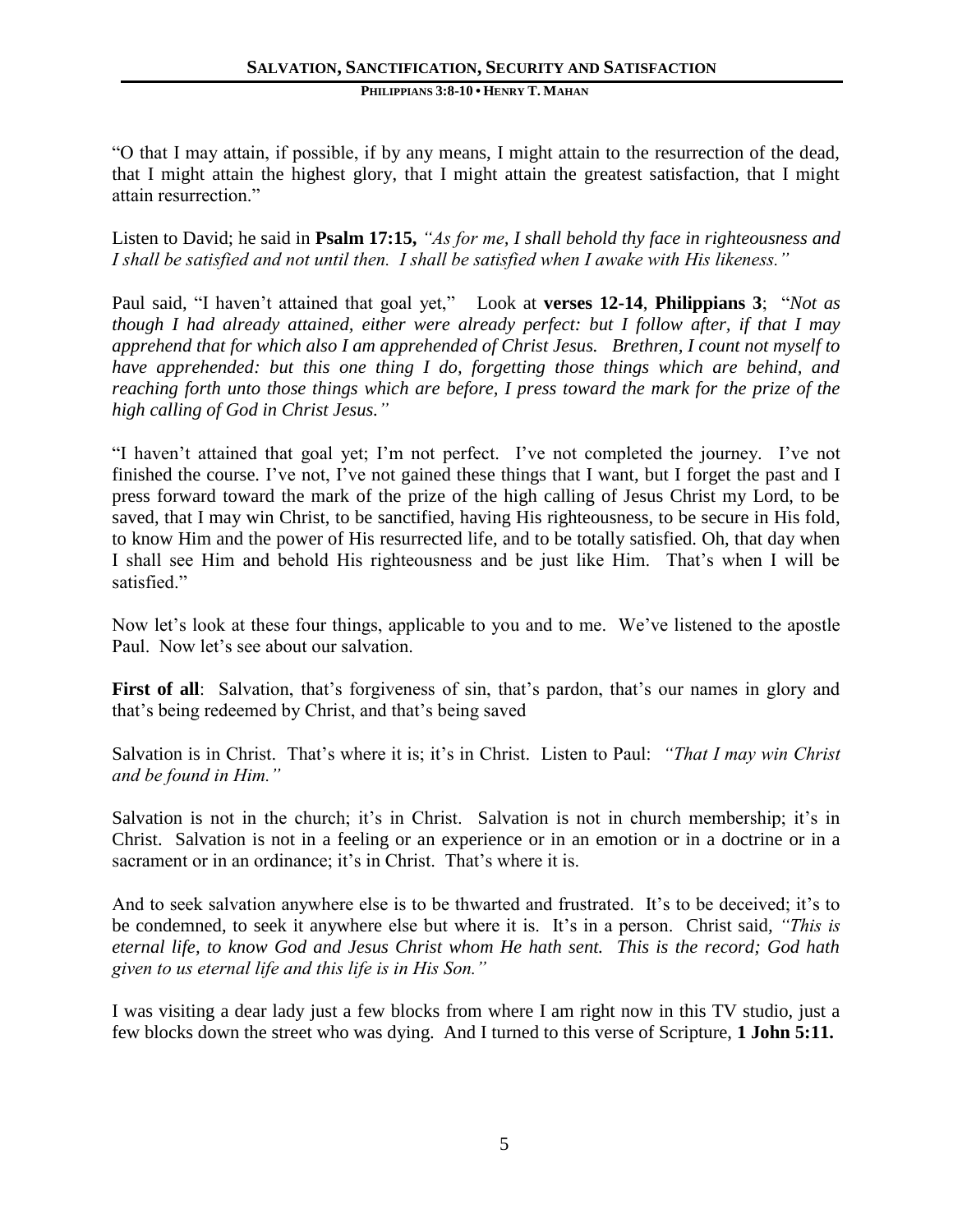"O that I may attain, if possible, if by any means, I might attain to the resurrection of the dead, that I might attain the highest glory, that I might attain the greatest satisfaction, that I might attain resurrection."

Listen to David; he said in **Psalm 17:15,** *"As for me, I shall behold thy face in righteousness and I shall be satisfied and not until then. I shall be satisfied when I awake with His likeness."*

Paul said, "I haven't attained that goal yet," Look at **verses 12-14**, **Philippians 3**; "*Not as though I had already attained, either were already perfect: but I follow after, if that I may apprehend that for which also I am apprehended of Christ Jesus. Brethren, I count not myself to have apprehended: but this one thing I do, forgetting those things which are behind, and reaching forth unto those things which are before, I press toward the mark for the prize of the high calling of God in Christ Jesus."*

"I haven't attained that goal yet; I'm not perfect. I've not completed the journey. I've not finished the course. I've not, I've not gained these things that I want, but I forget the past and I press forward toward the mark of the prize of the high calling of Jesus Christ my Lord, to be saved, that I may win Christ, to be sanctified, having His righteousness, to be secure in His fold, to know Him and the power of His resurrected life, and to be totally satisfied. Oh, that day when I shall see Him and behold His righteousness and be just like Him. That's when I will be satisfied."

Now let's look at these four things, applicable to you and to me. We've listened to the apostle Paul. Now let's see about our salvation.

First of all: Salvation, that's forgiveness of sin, that's pardon, that's our names in glory and that's being redeemed by Christ, and that's being saved

Salvation is in Christ. That's where it is; it's in Christ. Listen to Paul: *"That I may win Christ and be found in Him."* 

Salvation is not in the church; it's in Christ. Salvation is not in church membership; it's in Christ. Salvation is not in a feeling or an experience or in an emotion or in a doctrine or in a sacrament or in an ordinance; it's in Christ. That's where it is.

And to seek salvation anywhere else is to be thwarted and frustrated. It's to be deceived; it's to be condemned, to seek it anywhere else but where it is. It's in a person. Christ said*, "This is eternal life, to know God and Jesus Christ whom He hath sent. This is the record; God hath given to us eternal life and this life is in His Son."*

I was visiting a dear lady just a few blocks from where I am right now in this TV studio, just a few blocks down the street who was dying. And I turned to this verse of Scripture, **1 John 5:11.**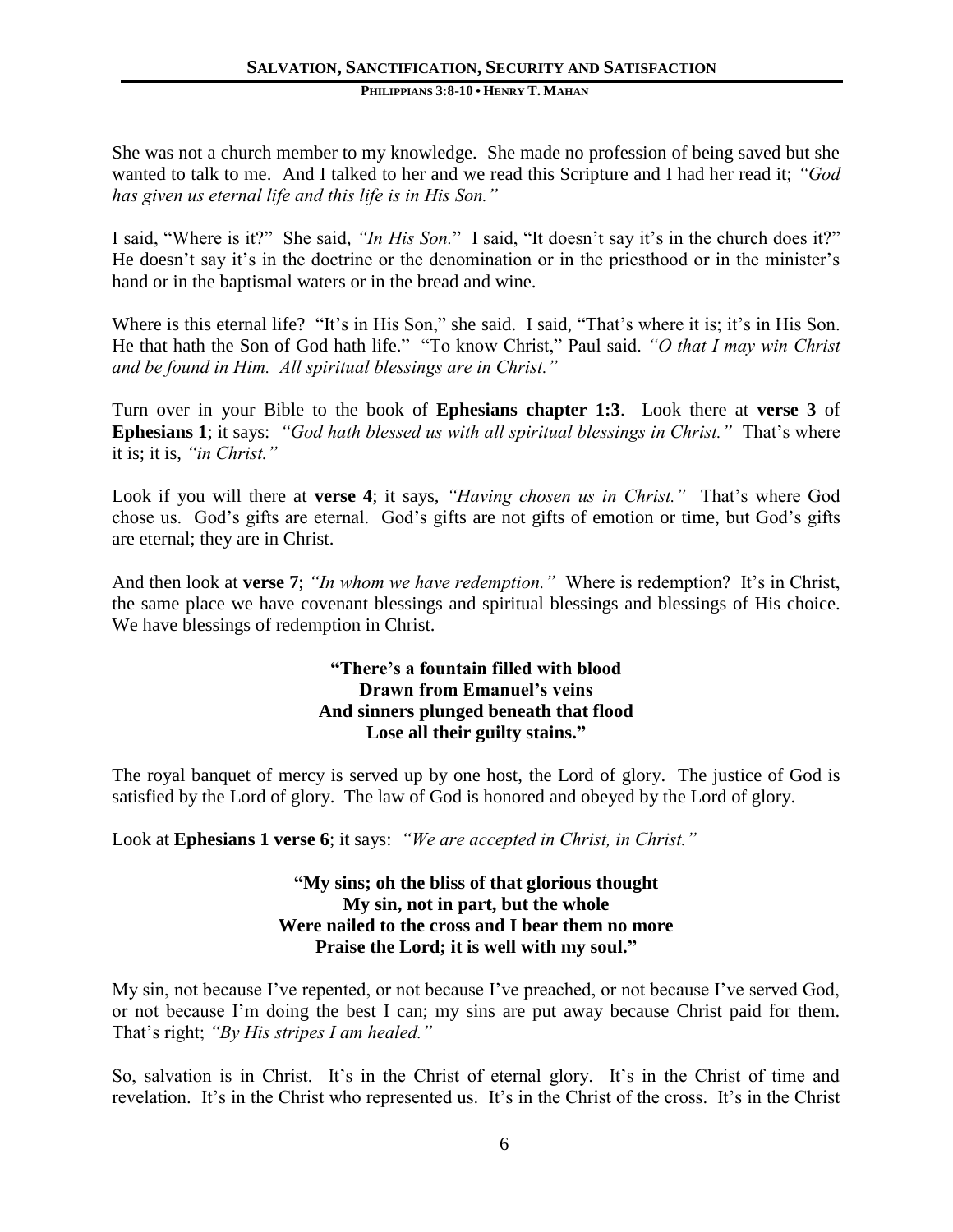She was not a church member to my knowledge. She made no profession of being saved but she wanted to talk to me. And I talked to her and we read this Scripture and I had her read it; *"God has given us eternal life and this life is in His Son."* 

I said, "Where is it?" She said, *"In His Son.*" I said, "It doesn't say it's in the church does it?" He doesn't say it's in the doctrine or the denomination or in the priesthood or in the minister's hand or in the baptismal waters or in the bread and wine.

Where is this eternal life? "It's in His Son," she said. I said, "That's where it is; it's in His Son. He that hath the Son of God hath life." "To know Christ," Paul said. *"O that I may win Christ and be found in Him. All spiritual blessings are in Christ."*

Turn over in your Bible to the book of **Ephesians chapter 1:3**. Look there at **verse 3** of **Ephesians 1**; it says: *"God hath blessed us with all spiritual blessings in Christ."* That's where it is; it is, *"in Christ."*

Look if you will there at **verse 4**; it says, *"Having chosen us in Christ."* That's where God chose us. God's gifts are eternal. God's gifts are not gifts of emotion or time, but God's gifts are eternal; they are in Christ.

And then look at **verse 7**; *"In whom we have redemption."* Where is redemption? It's in Christ, the same place we have covenant blessings and spiritual blessings and blessings of His choice. We have blessings of redemption in Christ.

## **"There's a fountain filled with blood Drawn from Emanuel's veins And sinners plunged beneath that flood Lose all their guilty stains."**

The royal banquet of mercy is served up by one host, the Lord of glory. The justice of God is satisfied by the Lord of glory. The law of God is honored and obeyed by the Lord of glory.

Look at **Ephesians 1 verse 6**; it says: *"We are accepted in Christ, in Christ."* 

## **"My sins; oh the bliss of that glorious thought My sin, not in part, but the whole Were nailed to the cross and I bear them no more Praise the Lord; it is well with my soul."**

My sin, not because I've repented, or not because I've preached, or not because I've served God, or not because I'm doing the best I can; my sins are put away because Christ paid for them. That's right; *"By His stripes I am healed."*

So, salvation is in Christ. It's in the Christ of eternal glory. It's in the Christ of time and revelation. It's in the Christ who represented us. It's in the Christ of the cross. It's in the Christ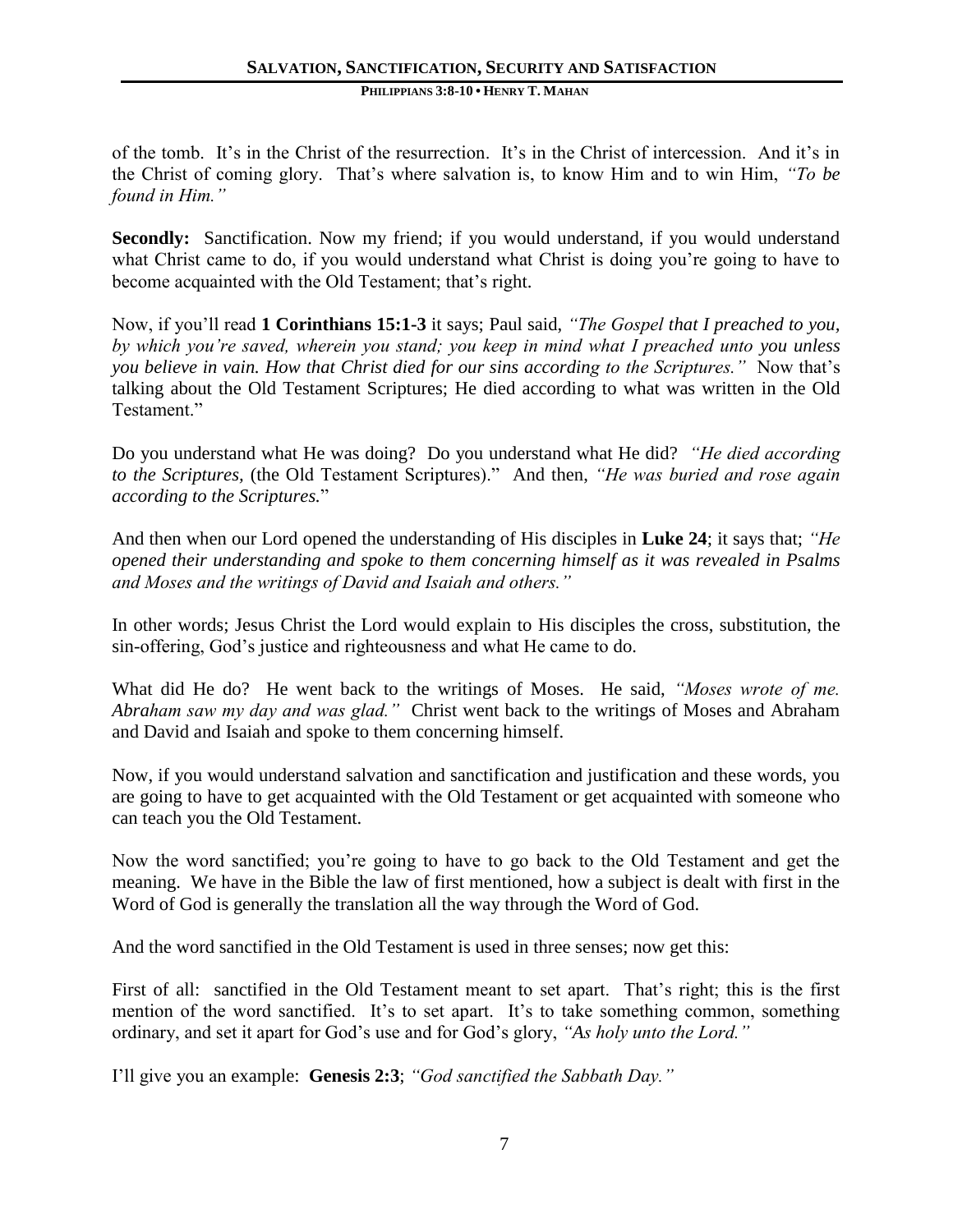#### **PHILIPPIANS 3:8-10 • HENRY T. MAHAN**

of the tomb. It's in the Christ of the resurrection. It's in the Christ of intercession. And it's in the Christ of coming glory. That's where salvation is, to know Him and to win Him, *"To be found in Him."*

**Secondly:** Sanctification. Now my friend; if you would understand, if you would understand what Christ came to do, if you would understand what Christ is doing you're going to have to become acquainted with the Old Testament; that's right.

Now, if you'll read **1 Corinthians 15:1-3** it says; Paul said, *"The Gospel that I preached to you, by which you're saved, wherein you stand; you keep in mind what I preached unto you unless you believe in vain. How that Christ died for our sins according to the Scriptures."* Now that's talking about the Old Testament Scriptures; He died according to what was written in the Old Testament."

Do you understand what He was doing? Do you understand what He did? *"He died according to the Scriptures,* (the Old Testament Scriptures)."And then, *"He was buried and rose again according to the Scriptures.*"

And then when our Lord opened the understanding of His disciples in **Luke 24**; it says that; *"He opened their understanding and spoke to them concerning himself as it was revealed in Psalms and Moses and the writings of David and Isaiah and others."*

In other words; Jesus Christ the Lord would explain to His disciples the cross, substitution, the sin-offering, God's justice and righteousness and what He came to do.

What did He do? He went back to the writings of Moses. He said, *"Moses wrote of me. Abraham saw my day and was glad."* Christ went back to the writings of Moses and Abraham and David and Isaiah and spoke to them concerning himself.

Now, if you would understand salvation and sanctification and justification and these words, you are going to have to get acquainted with the Old Testament or get acquainted with someone who can teach you the Old Testament.

Now the word sanctified; you're going to have to go back to the Old Testament and get the meaning. We have in the Bible the law of first mentioned, how a subject is dealt with first in the Word of God is generally the translation all the way through the Word of God.

And the word sanctified in the Old Testament is used in three senses; now get this:

First of all: sanctified in the Old Testament meant to set apart. That's right; this is the first mention of the word sanctified. It's to set apart. It's to take something common, something ordinary, and set it apart for God's use and for God's glory, *"As holy unto the Lord."*

I'll give you an example: **Genesis 2:3**; *"God sanctified the Sabbath Day."*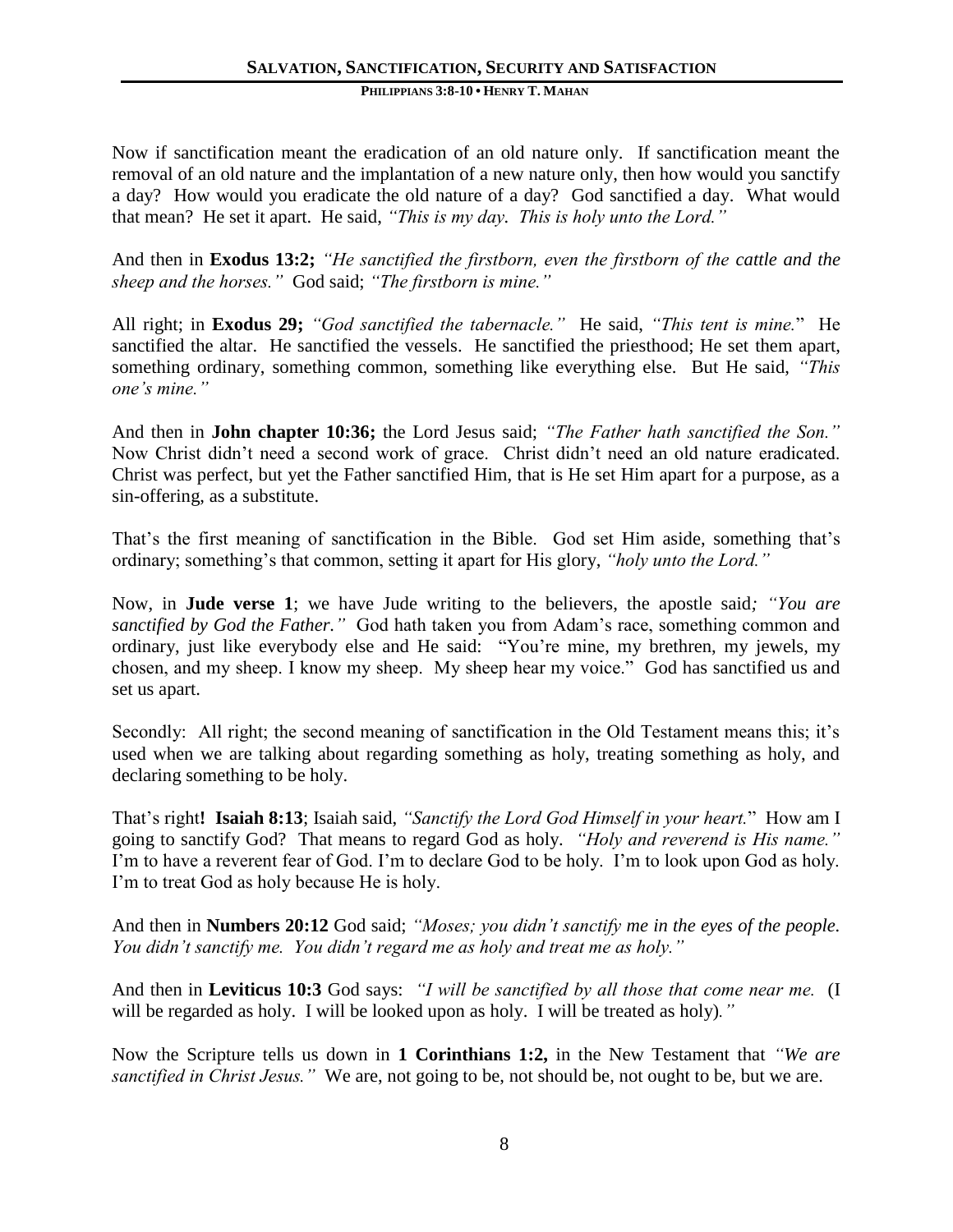Now if sanctification meant the eradication of an old nature only. If sanctification meant the removal of an old nature and the implantation of a new nature only, then how would you sanctify a day? How would you eradicate the old nature of a day? God sanctified a day. What would that mean? He set it apart. He said, *"This is my day. This is holy unto the Lord."*

And then in **Exodus 13:2;** *"He sanctified the firstborn, even the firstborn of the cattle and the sheep and the horses."* God said; *"The firstborn is mine."*

All right; in **Exodus 29;** *"God sanctified the tabernacle."* He said, *"This tent is mine.*" He sanctified the altar. He sanctified the vessels. He sanctified the priesthood; He set them apart, something ordinary, something common, something like everything else. But He said, *"This one's mine."*

And then in **John chapter 10:36;** the Lord Jesus said; *"The Father hath sanctified the Son."* Now Christ didn't need a second work of grace. Christ didn't need an old nature eradicated. Christ was perfect, but yet the Father sanctified Him, that is He set Him apart for a purpose, as a sin-offering, as a substitute.

That's the first meaning of sanctification in the Bible. God set Him aside, something that's ordinary; something's that common, setting it apart for His glory, *"holy unto the Lord."*

Now, in **Jude verse 1**; we have Jude writing to the believers, the apostle said*; "You are sanctified by God the Father."* God hath taken you from Adam's race, something common and ordinary, just like everybody else and He said: "You're mine, my brethren, my jewels, my chosen, and my sheep. I know my sheep. My sheep hear my voice." God has sanctified us and set us apart.

Secondly: All right; the second meaning of sanctification in the Old Testament means this; it's used when we are talking about regarding something as holy, treating something as holy, and declaring something to be holy.

That's right**! Isaiah 8:13**; Isaiah said, *"Sanctify the Lord God Himself in your heart.*" How am I going to sanctify God? That means to regard God as holy. *"Holy and reverend is His name."* I'm to have a reverent fear of God. I'm to declare God to be holy. I'm to look upon God as holy. I'm to treat God as holy because He is holy.

And then in **Numbers 20:12** God said; *"Moses; you didn't sanctify me in the eyes of the people. You didn't sanctify me. You didn't regard me as holy and treat me as holy."*

And then in **Leviticus 10:3** God says: *"I will be sanctified by all those that come near me.* (I will be regarded as holy. I will be looked upon as holy. I will be treated as holy)*."*

Now the Scripture tells us down in **1 Corinthians 1:2,** in the New Testament that *"We are sanctified in Christ Jesus."* We are, not going to be, not should be, not ought to be, but we are.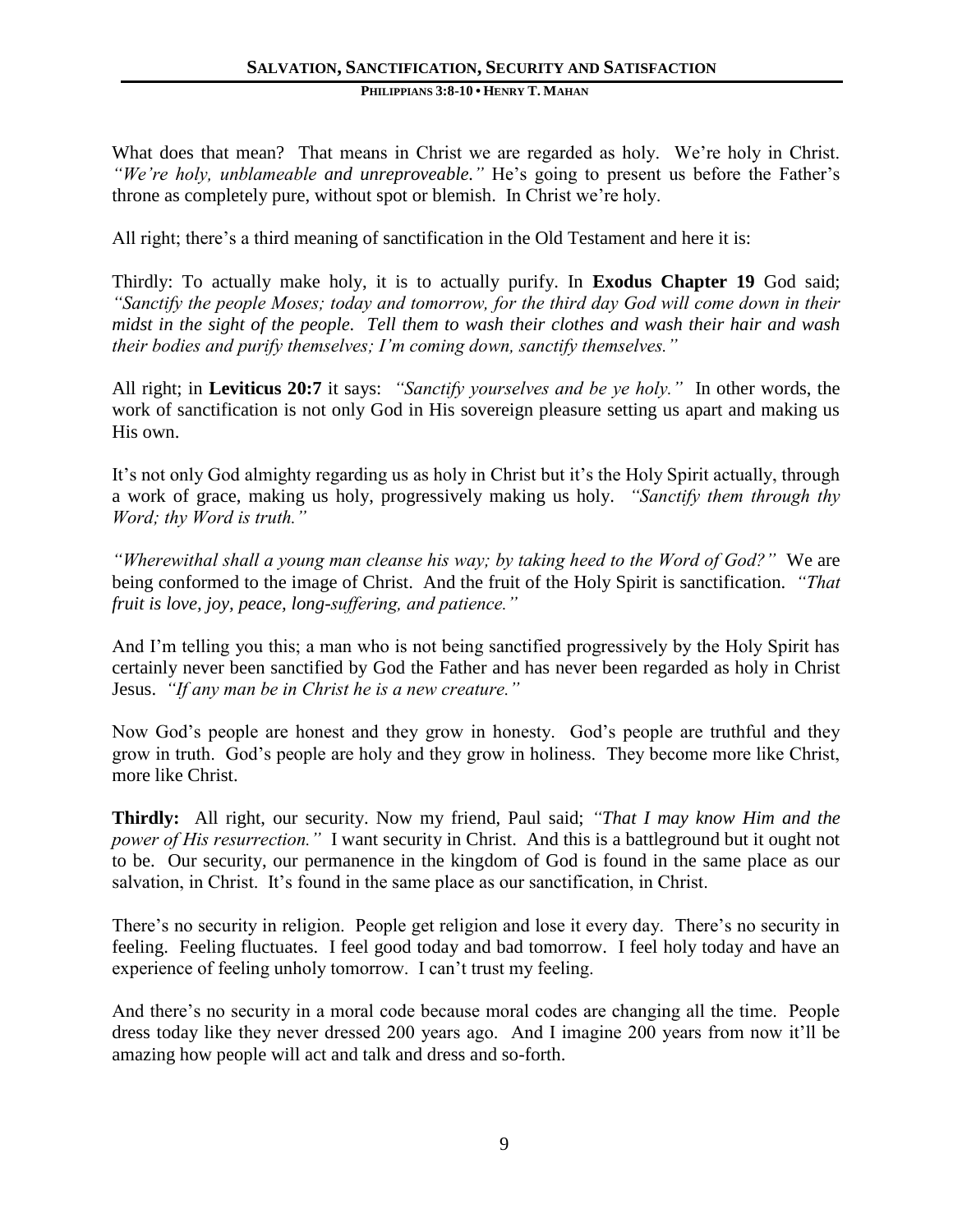#### **PHILIPPIANS 3:8-10 • HENRY T. MAHAN**

What does that mean? That means in Christ we are regarded as holy. We're holy in Christ. *"We're holy, unblameable and unreproveable."* He's going to present us before the Father's throne as completely pure, without spot or blemish. In Christ we're holy.

All right; there's a third meaning of sanctification in the Old Testament and here it is:

Thirdly: To actually make holy, it is to actually purify. In **Exodus Chapter 19** God said; *"Sanctify the people Moses; today and tomorrow, for the third day God will come down in their midst in the sight of the people. Tell them to wash their clothes and wash their hair and wash their bodies and purify themselves; I'm coming down, sanctify themselves."*

All right; in **Leviticus 20:7** it says: *"Sanctify yourselves and be ye holy."* In other words, the work of sanctification is not only God in His sovereign pleasure setting us apart and making us His own.

It's not only God almighty regarding us as holy in Christ but it's the Holy Spirit actually, through a work of grace, making us holy, progressively making us holy. *"Sanctify them through thy Word; thy Word is truth."*

*"Wherewithal shall a young man cleanse his way; by taking heed to the Word of God?"* We are being conformed to the image of Christ. And the fruit of the Holy Spirit is sanctification. *"That fruit is love, joy, peace, long-suffering, and patience."*

And I'm telling you this; a man who is not being sanctified progressively by the Holy Spirit has certainly never been sanctified by God the Father and has never been regarded as holy in Christ Jesus. *"If any man be in Christ he is a new creature."*

Now God's people are honest and they grow in honesty. God's people are truthful and they grow in truth. God's people are holy and they grow in holiness. They become more like Christ, more like Christ.

**Thirdly:** All right, our security. Now my friend, Paul said; *"That I may know Him and the power of His resurrection."* I want security in Christ. And this is a battleground but it ought not to be. Our security, our permanence in the kingdom of God is found in the same place as our salvation, in Christ. It's found in the same place as our sanctification, in Christ.

There's no security in religion. People get religion and lose it every day. There's no security in feeling. Feeling fluctuates. I feel good today and bad tomorrow. I feel holy today and have an experience of feeling unholy tomorrow. I can't trust my feeling.

And there's no security in a moral code because moral codes are changing all the time. People dress today like they never dressed 200 years ago. And I imagine 200 years from now it'll be amazing how people will act and talk and dress and so-forth.